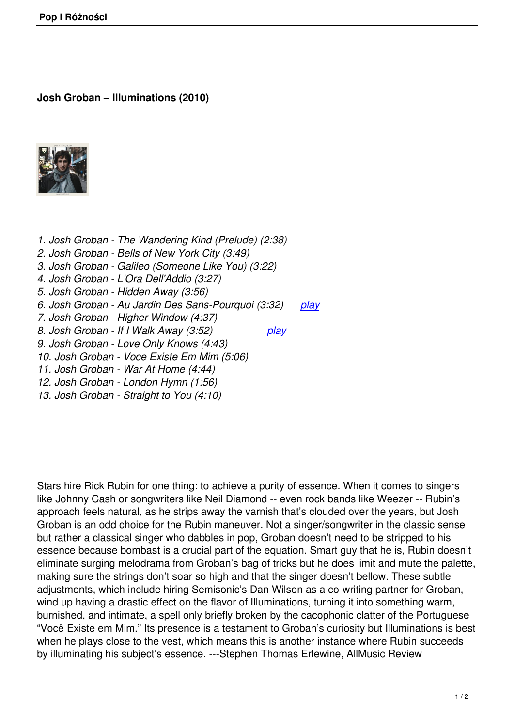## **Josh Groban – Illuminations (2010)**



*1. Josh Groban - The Wandering Kind (Prelude) (2:38) 2. Josh Groban - Bells of New York City (3:49) 3. Josh Groban - Galileo (Someone Like You) (3:22) 4. Josh Groban - L'Ora Dell'Addio (3:27) 5. Josh Groban - Hidden Away (3:56) 6. Josh Groban - Au Jardin Des Sans-Pourquoi (3:32) play 7. Josh Groban - Higher Window (4:37) 8. Josh Groban - If I Walk Away (3:52) play 9. Josh Groban - Love Only Knows (4:43) 10. Josh Groban - Voce Existe Em Mim (5:06) 11. Josh Groban - War At Home (4:44) 12. Josh Groban - London Hymn (1:56)*

*13. Josh Groban - Straight to You (4:10)*

Stars hire Rick Rubin for one thing: to achieve a purity of essence. When it comes to singers like Johnny Cash or songwriters like Neil Diamond -- even rock bands like Weezer -- Rubin's approach feels natural, as he strips away the varnish that's clouded over the years, but Josh Groban is an odd choice for the Rubin maneuver. Not a singer/songwriter in the classic sense but rather a classical singer who dabbles in pop, Groban doesn't need to be stripped to his essence because bombast is a crucial part of the equation. Smart guy that he is, Rubin doesn't eliminate surging melodrama from Groban's bag of tricks but he does limit and mute the palette, making sure the strings don't soar so high and that the singer doesn't bellow. These subtle adjustments, which include hiring Semisonic's Dan Wilson as a co-writing partner for Groban, wind up having a drastic effect on the flavor of Illuminations, turning it into something warm, burnished, and intimate, a spell only briefly broken by the cacophonic clatter of the Portuguese "Você Existe em Mim." Its presence is a testament to Groban's curiosity but Illuminations is best when he plays close to the vest, which means this is another instance where Rubin succeeds by illuminating his subject's essence. ---Stephen Thomas Erlewine, AllMusic Review